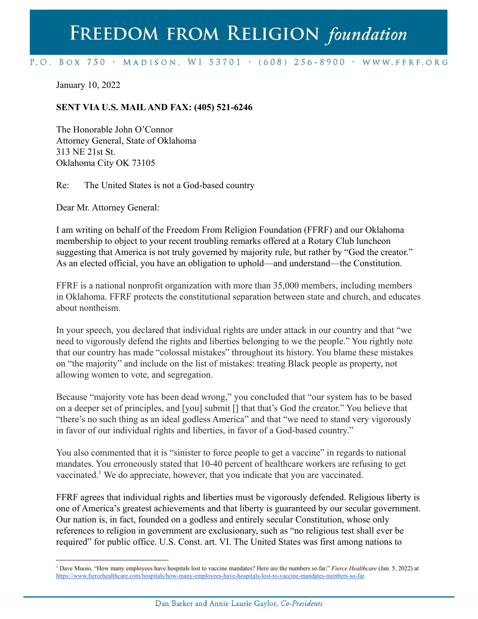## FREEDOM FROM RELIGION foundation

## P.O. BOX 750 > MADISON, WI 53701 > (608) 256-8900 > WWW.FFRF.ORG

January 10, 2022

## **SENT VIA U.S. MAILAND FAX: (405) 521-6246**

The Honorable John O'Connor Attorney General, State of Oklahoma 313 NE 21st St. Oklahoma City OK 73105

Re: The United States is not a God-based country

Dear Mr. Attorney General:

I am writing on behalf of the Freedom From Religion Foundation (FFRF) and our Oklahoma membership to object to your recent troubling remarks offered at a Rotary Club luncheon suggesting that America is not truly governed by majority rule, but rather by "God the creator." As an elected official, you have an obligation to uphold—and understand—the Constitution.

FFRF is a national nonprofit organization with more than 35,000 members, including members in Oklahoma. FFRF protects the constitutional separation between state and church, and educates about nontheism.

In your speech, you declared that individual rights are under attack in our country and that "we need to vigorously defend the rights and liberties belonging to we the people." You rightly note that our country has made "colossal mistakes" throughout its history. You blame these mistakes on "the majority" and include on the list of mistakes: treating Black people as property, not allowing women to vote, and segregation.

Because "majority vote has been dead wrong," you concluded that "our system has to be based on a deeper set of principles, and [you] submit [] that that's God the creator." You believe that "there's no such thing as an ideal godless America" and that "we need to stand very vigorously in favor of our individual rights and liberties, in favor of a God-based country."

You also commented that it is "sinister to force people to get a vaccine" in regards to national mandates. You erroneously stated that 10-40 percent of healthcare workers are refusing to get vaccinated.<sup>1</sup> We do appreciate, however, that you indicate that you are vaccinated.

FFRF agrees that individual rights and liberties must be vigorously defended. Religious liberty is one of America's greatest achievements and that liberty is guaranteed by our secular government. Our nation is, in fact, founded on a godless and entirely secular Constitution, whose only references to religion in government are exclusionary, such as "no religious test shall ever be required" for public office. U.S. Const. art. VI. The United States was first among nations to

<sup>1</sup> Dave Muoio, "How many employees have hospitals lost to vaccine mandates? Here are the numbers so far," *Fierce Healthcare* (Jan. 5, 2022) at [https://www.fiercehealthcare.com/hospitals/how-many-employees-have-hospitals-lost-to-vaccine-mandates-numbers-so-far.](https://www.fiercehealthcare.com/hospitals/how-many-employees-have-hospitals-lost-to-vaccine-mandates-numbers-so-far)